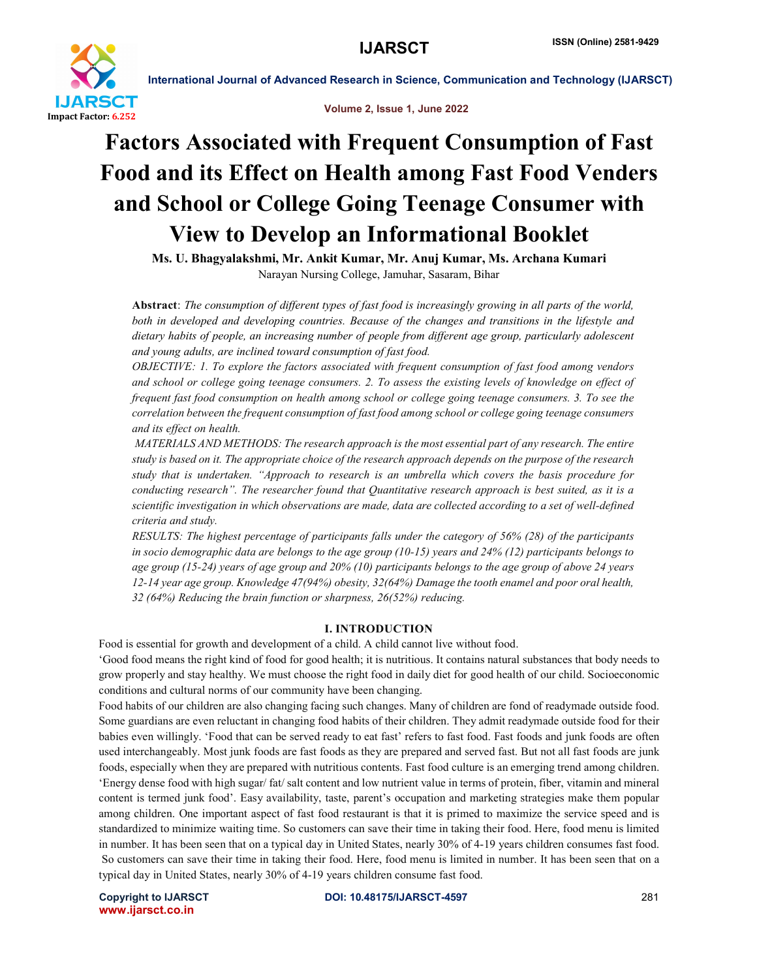

Volume 2, Issue 1, June 2022

## Factors Associated with Frequent Consumption of Fast Food and its Effect on Health among Fast Food Venders and School or College Going Teenage Consumer with View to Develop an Informational Booklet

Ms. U. Bhagyalakshmi, Mr. Ankit Kumar, Mr. Anuj Kumar, Ms. Archana Kumari Narayan Nursing College, Jamuhar, Sasaram, Bihar

Abstract: *The consumption of different types of fast food is increasingly growing in all parts of the world, both in developed and developing countries. Because of the changes and transitions in the lifestyle and dietary habits of people, an increasing number of people from different age group, particularly adolescent and young adults, are inclined toward consumption of fast food.*

*OBJECTIVE: 1. To explore the factors associated with frequent consumption of fast food among vendors and school or college going teenage consumers. 2. To assess the existing levels of knowledge on effect of frequent fast food consumption on health among school or college going teenage consumers. 3. To see the correlation between the frequent consumption of fast food among school or college going teenage consumers and its effect on health.* 

*MATERIALS AND METHODS: The research approach is the most essential part of any research. The entire study is based on it. The appropriate choice of the research approach depends on the purpose of the research study that is undertaken. "Approach to research is an umbrella which covers the basis procedure for conducting research". The researcher found that Quantitative research approach is best suited, as it is a scientific investigation in which observations are made, data are collected according to a set of well-defined criteria and study.* 

*RESULTS: The highest percentage of participants falls under the category of 56% (28) of the participants in socio demographic data are belongs to the age group (10-15) years and 24% (12) participants belongs to age group (15-24) years of age group and 20% (10) participants belongs to the age group of above 24 years 12-14 year age group. Knowledge 47(94%) obesity, 32(64%) Damage the tooth enamel and poor oral health, 32 (64%) Reducing the brain function or sharpness, 26(52%) reducing.*

## I. INTRODUCTION

Food is essential for growth and development of a child. A child cannot live without food.

'Good food means the right kind of food for good health; it is nutritious. It contains natural substances that body needs to grow properly and stay healthy. We must choose the right food in daily diet for good health of our child. Socioeconomic conditions and cultural norms of our community have been changing.

Food habits of our children are also changing facing such changes. Many of children are fond of readymade outside food. Some guardians are even reluctant in changing food habits of their children. They admit readymade outside food for their babies even willingly. 'Food that can be served ready to eat fast' refers to fast food. Fast foods and junk foods are often used interchangeably. Most junk foods are fast foods as they are prepared and served fast. But not all fast foods are junk foods, especially when they are prepared with nutritious contents. Fast food culture is an emerging trend among children. 'Energy dense food with high sugar/ fat/ salt content and low nutrient value in terms of protein, fiber, vitamin and mineral content is termed junk food'. Easy availability, taste, parent's occupation and marketing strategies make them popular among children. One important aspect of fast food restaurant is that it is primed to maximize the service speed and is standardized to minimize waiting time. So customers can save their time in taking their food. Here, food menu is limited in number. It has been seen that on a typical day in United States, nearly 30% of 4-19 years children consumes fast food. So customers can save their time in taking their food. Here, food menu is limited in number. It has been seen that on a typical day in United States, nearly 30% of 4-19 years children consume fast food.

www.ijarsct.co.in

Copyright to IJARSCT **DOI: 10.48175/IJARSCT-4597** 281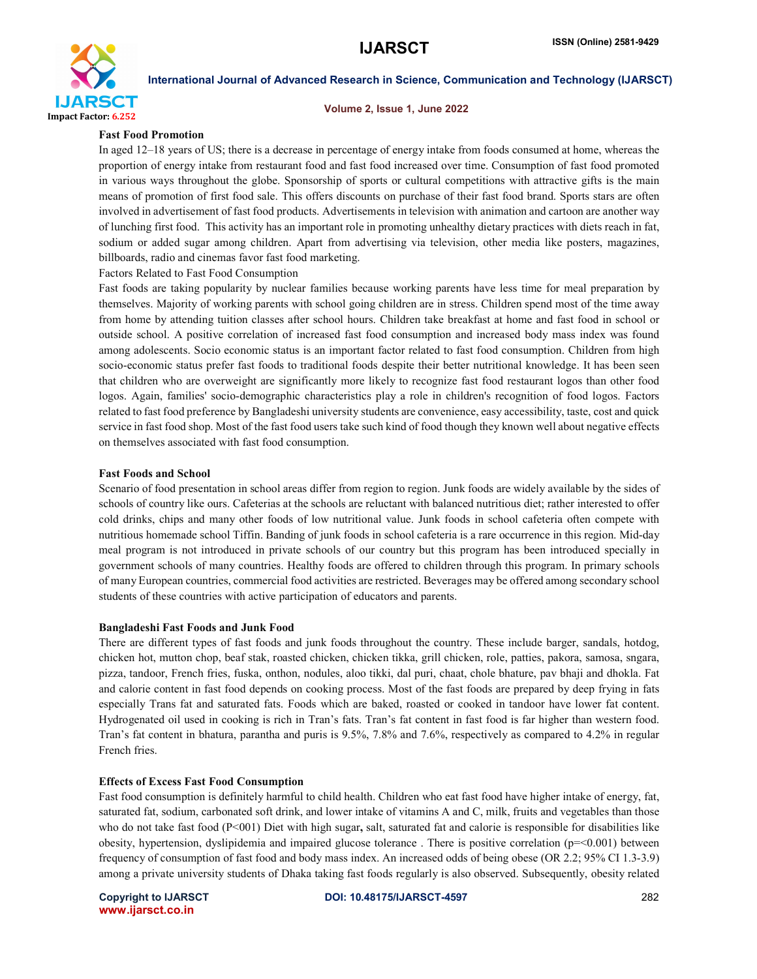

#### Volume 2, Issue 1, June 2022

#### Fast Food Promotion

In aged 12–18 years of US; there is a decrease in percentage of energy intake from foods consumed at home, whereas the proportion of energy intake from restaurant food and fast food increased over time. Consumption of fast food promoted in various ways throughout the globe. Sponsorship of sports or cultural competitions with attractive gifts is the main means of promotion of first food sale. This offers discounts on purchase of their fast food brand. Sports stars are often involved in advertisement of fast food products. Advertisements in television with animation and cartoon are another way of lunching first food. This activity has an important role in promoting unhealthy dietary practices with diets reach in fat, sodium or added sugar among children. Apart from advertising via television, other media like posters, magazines, billboards, radio and cinemas favor fast food marketing.

Factors Related to Fast Food Consumption

Fast foods are taking popularity by nuclear families because working parents have less time for meal preparation by themselves. Majority of working parents with school going children are in stress. Children spend most of the time away from home by attending tuition classes after school hours. Children take breakfast at home and fast food in school or outside school. A positive correlation of increased fast food consumption and increased body mass index was found among adolescents. Socio economic status is an important factor related to fast food consumption. Children from high socio-economic status prefer fast foods to traditional foods despite their better nutritional knowledge. It has been seen that children who are overweight are significantly more likely to recognize fast food restaurant logos than other food logos. Again, families' socio-demographic characteristics play a role in children's recognition of food logos. Factors related to fast food preference by Bangladeshi university students are convenience, easy accessibility, taste, cost and quick service in fast food shop. Most of the fast food users take such kind of food though they known well about negative effects on themselves associated with fast food consumption.

#### Fast Foods and School

Scenario of food presentation in school areas differ from region to region. Junk foods are widely available by the sides of schools of country like ours. Cafeterias at the schools are reluctant with balanced nutritious diet; rather interested to offer cold drinks, chips and many other foods of low nutritional value. Junk foods in school cafeteria often compete with nutritious homemade school Tiffin. Banding of junk foods in school cafeteria is a rare occurrence in this region. Mid-day meal program is not introduced in private schools of our country but this program has been introduced specially in government schools of many countries. Healthy foods are offered to children through this program. In primary schools of many European countries, commercial food activities are restricted. Beverages may be offered among secondary school students of these countries with active participation of educators and parents.

#### Bangladeshi Fast Foods and Junk Food

There are different types of fast foods and junk foods throughout the country. These include barger, sandals, hotdog, chicken hot, mutton chop, beaf stak, roasted chicken, chicken tikka, grill chicken, role, patties, pakora, samosa, sngara, pizza, tandoor, French fries, fuska, onthon, nodules, aloo tikki, dal puri, chaat, chole bhature, pav bhaji and dhokla. Fat and calorie content in fast food depends on cooking process. Most of the fast foods are prepared by deep frying in fats especially Trans fat and saturated fats. Foods which are baked, roasted or cooked in tandoor have lower fat content. Hydrogenated oil used in cooking is rich in Tran's fats. Tran's fat content in fast food is far higher than western food. Tran's fat content in bhatura, parantha and puris is 9.5%, 7.8% and 7.6%, respectively as compared to 4.2% in regular French fries.

#### Effects of Excess Fast Food Consumption

Fast food consumption is definitely harmful to child health. Children who eat fast food have higher intake of energy, fat, saturated fat, sodium, carbonated soft drink, and lower intake of vitamins A and C, milk, fruits and vegetables than those who do not take fast food  $(P<001)$  Diet with high sugar, salt, saturated fat and calorie is responsible for disabilities like obesity, hypertension, dyslipidemia and impaired glucose tolerance . There is positive correlation (p=<0.001) between frequency of consumption of fast food and body mass index. An increased odds of being obese (OR 2.2; 95% CI 1.3-3.9) among a private university students of Dhaka taking fast foods regularly is also observed. Subsequently, obesity related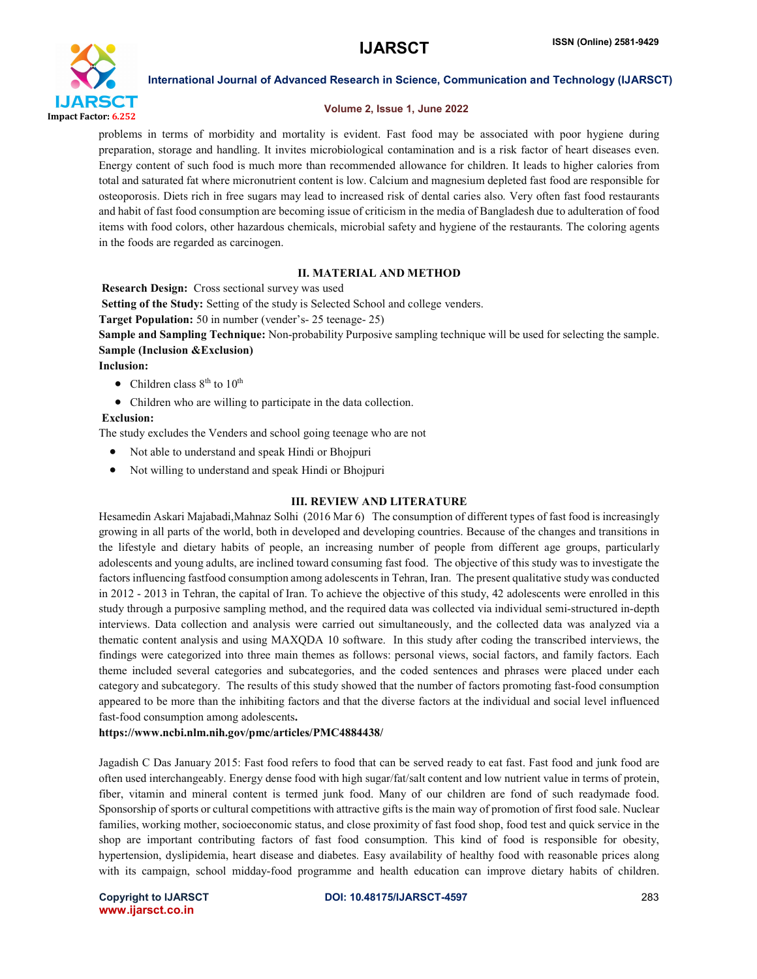

#### Volume 2, Issue 1, June 2022

problems in terms of morbidity and mortality is evident. Fast food may be associated with poor hygiene during preparation, storage and handling. It invites microbiological contamination and is a risk factor of heart diseases even. Energy content of such food is much more than recommended allowance for children. It leads to higher calories from total and saturated fat where micronutrient content is low. Calcium and magnesium depleted fast food are responsible for osteoporosis. Diets rich in free sugars may lead to increased risk of dental caries also. Very often fast food restaurants and habit of fast food consumption are becoming issue of criticism in the media of Bangladesh due to adulteration of food items with food colors, other hazardous chemicals, microbial safety and hygiene of the restaurants. The coloring agents in the foods are regarded as carcinogen.

#### II. MATERIAL AND METHOD

Research Design: Cross sectional survey was used

Setting of the Study: Setting of the study is Selected School and college venders.

Target Population: 50 in number (vender's- 25 teenage- 25)

Sample and Sampling Technique: Non-probability Purposive sampling technique will be used for selecting the sample. Sample (Inclusion &Exclusion)

Inclusion:

- Children class  $8<sup>th</sup>$  to  $10<sup>th</sup>$
- Children who are willing to participate in the data collection.

#### Exclusion:

The study excludes the Venders and school going teenage who are not

- Not able to understand and speak Hindi or Bhojpuri
- Not willing to understand and speak Hindi or Bhojpuri

#### III. REVIEW AND LITERATURE

Hesamedin Askari Majabadi,Mahnaz Solhi (2016 Mar 6) The consumption of different types of fast food is increasingly growing in all parts of the world, both in developed and developing countries. Because of the changes and transitions in the lifestyle and dietary habits of people, an increasing number of people from different age groups, particularly adolescents and young adults, are inclined toward consuming fast food. The objective of this study was to investigate the factors influencing fastfood consumption among adolescents in Tehran, Iran. The present qualitative study was conducted in 2012 - 2013 in Tehran, the capital of Iran. To achieve the objective of this study, 42 adolescents were enrolled in this study through a purposive sampling method, and the required data was collected via individual semi-structured in-depth interviews. Data collection and analysis were carried out simultaneously, and the collected data was analyzed via a thematic content analysis and using MAXQDA 10 software. In this study after coding the transcribed interviews, the findings were categorized into three main themes as follows: personal views, social factors, and family factors. Each theme included several categories and subcategories, and the coded sentences and phrases were placed under each category and subcategory. The results of this study showed that the number of factors promoting fast-food consumption appeared to be more than the inhibiting factors and that the diverse factors at the individual and social level influenced fast-food consumption among adolescents.

#### https://www.ncbi.nlm.nih.gov/pmc/articles/PMC4884438/

Jagadish C Das January 2015: Fast food refers to food that can be served ready to eat fast. Fast food and junk food are often used interchangeably. Energy dense food with high sugar/fat/salt content and low nutrient value in terms of protein, fiber, vitamin and mineral content is termed junk food. Many of our children are fond of such readymade food. Sponsorship of sports or cultural competitions with attractive gifts is the main way of promotion of first food sale. Nuclear families, working mother, socioeconomic status, and close proximity of fast food shop, food test and quick service in the shop are important contributing factors of fast food consumption. This kind of food is responsible for obesity, hypertension, dyslipidemia, heart disease and diabetes. Easy availability of healthy food with reasonable prices along with its campaign, school midday-food programme and health education can improve dietary habits of children.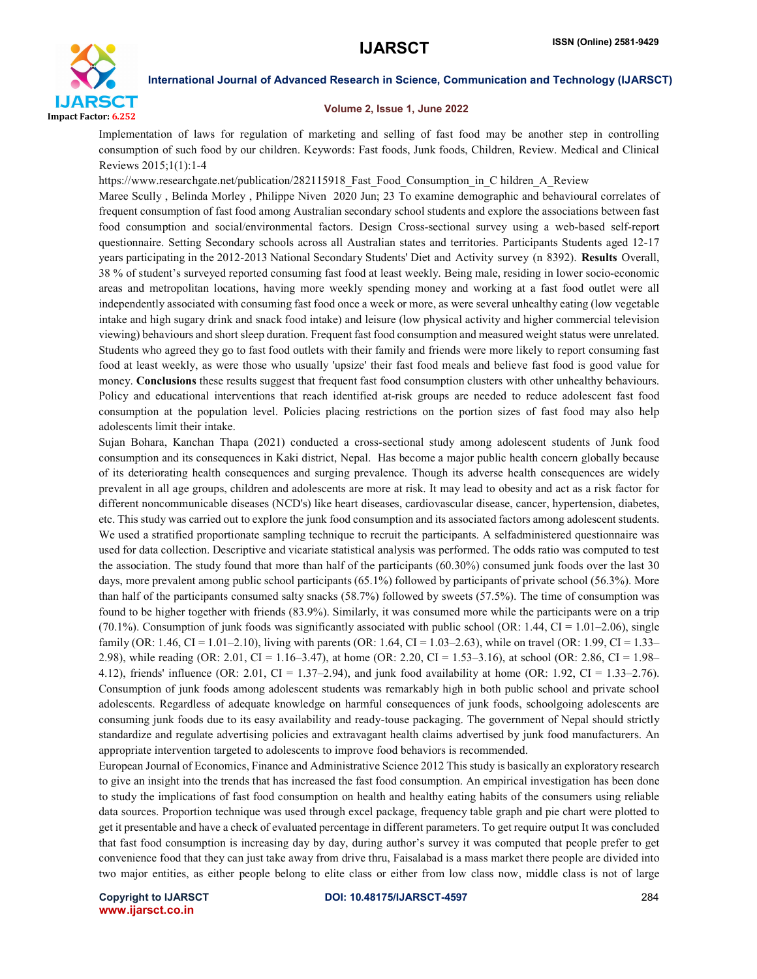

#### Volume 2, Issue 1, June 2022

Implementation of laws for regulation of marketing and selling of fast food may be another step in controlling consumption of such food by our children. Keywords: Fast foods, Junk foods, Children, Review. Medical and Clinical Reviews 2015;1(1):1-4

https://www.researchgate.net/publication/282115918\_Fast\_Food\_Consumption\_in\_C hildren\_A\_Review

Maree Scully , Belinda Morley , Philippe Niven 2020 Jun; 23 To examine demographic and behavioural correlates of frequent consumption of fast food among Australian secondary school students and explore the associations between fast food consumption and social/environmental factors. Design Cross-sectional survey using a web-based self-report questionnaire. Setting Secondary schools across all Australian states and territories. Participants Students aged 12-17 years participating in the 2012-2013 National Secondary Students' Diet and Activity survey (n 8392). Results Overall, 38 % of student's surveyed reported consuming fast food at least weekly. Being male, residing in lower socio-economic areas and metropolitan locations, having more weekly spending money and working at a fast food outlet were all independently associated with consuming fast food once a week or more, as were several unhealthy eating (low vegetable intake and high sugary drink and snack food intake) and leisure (low physical activity and higher commercial television viewing) behaviours and short sleep duration. Frequent fast food consumption and measured weight status were unrelated. Students who agreed they go to fast food outlets with their family and friends were more likely to report consuming fast food at least weekly, as were those who usually 'upsize' their fast food meals and believe fast food is good value for money. Conclusions these results suggest that frequent fast food consumption clusters with other unhealthy behaviours. Policy and educational interventions that reach identified at-risk groups are needed to reduce adolescent fast food consumption at the population level. Policies placing restrictions on the portion sizes of fast food may also help adolescents limit their intake.

Sujan Bohara, Kanchan Thapa (2021) conducted a cross-sectional study among adolescent students of Junk food consumption and its consequences in Kaki district, Nepal. Has become a major public health concern globally because of its deteriorating health consequences and surging prevalence. Though its adverse health consequences are widely prevalent in all age groups, children and adolescents are more at risk. It may lead to obesity and act as a risk factor for different noncommunicable diseases (NCD's) like heart diseases, cardiovascular disease, cancer, hypertension, diabetes, etc. This study was carried out to explore the junk food consumption and its associated factors among adolescent students. We used a stratified proportionate sampling technique to recruit the participants. A selfadministered questionnaire was used for data collection. Descriptive and vicariate statistical analysis was performed. The odds ratio was computed to test the association. The study found that more than half of the participants (60.30%) consumed junk foods over the last 30 days, more prevalent among public school participants (65.1%) followed by participants of private school (56.3%). More than half of the participants consumed salty snacks (58.7%) followed by sweets (57.5%). The time of consumption was found to be higher together with friends (83.9%). Similarly, it was consumed more while the participants were on a trip (70.1%). Consumption of junk foods was significantly associated with public school (OR: 1.44, CI = 1.01–2.06), single family (OR: 1.46, CI = 1.01–2.10), living with parents (OR: 1.64, CI = 1.03–2.63), while on travel (OR: 1.99, CI = 1.33– 2.98), while reading (OR: 2.01, CI = 1.16–3.47), at home (OR: 2.20, CI = 1.53–3.16), at school (OR: 2.86, CI = 1.98– 4.12), friends' influence (OR: 2.01, CI = 1.37–2.94), and junk food availability at home (OR: 1.92, CI = 1.33–2.76). Consumption of junk foods among adolescent students was remarkably high in both public school and private school adolescents. Regardless of adequate knowledge on harmful consequences of junk foods, schoolgoing adolescents are consuming junk foods due to its easy availability and ready-touse packaging. The government of Nepal should strictly standardize and regulate advertising policies and extravagant health claims advertised by junk food manufacturers. An appropriate intervention targeted to adolescents to improve food behaviors is recommended.

European Journal of Economics, Finance and Administrative Science 2012 This study is basically an exploratory research to give an insight into the trends that has increased the fast food consumption. An empirical investigation has been done to study the implications of fast food consumption on health and healthy eating habits of the consumers using reliable data sources. Proportion technique was used through excel package, frequency table graph and pie chart were plotted to get it presentable and have a check of evaluated percentage in different parameters. To get require output It was concluded that fast food consumption is increasing day by day, during author's survey it was computed that people prefer to get convenience food that they can just take away from drive thru, Faisalabad is a mass market there people are divided into two major entities, as either people belong to elite class or either from low class now, middle class is not of large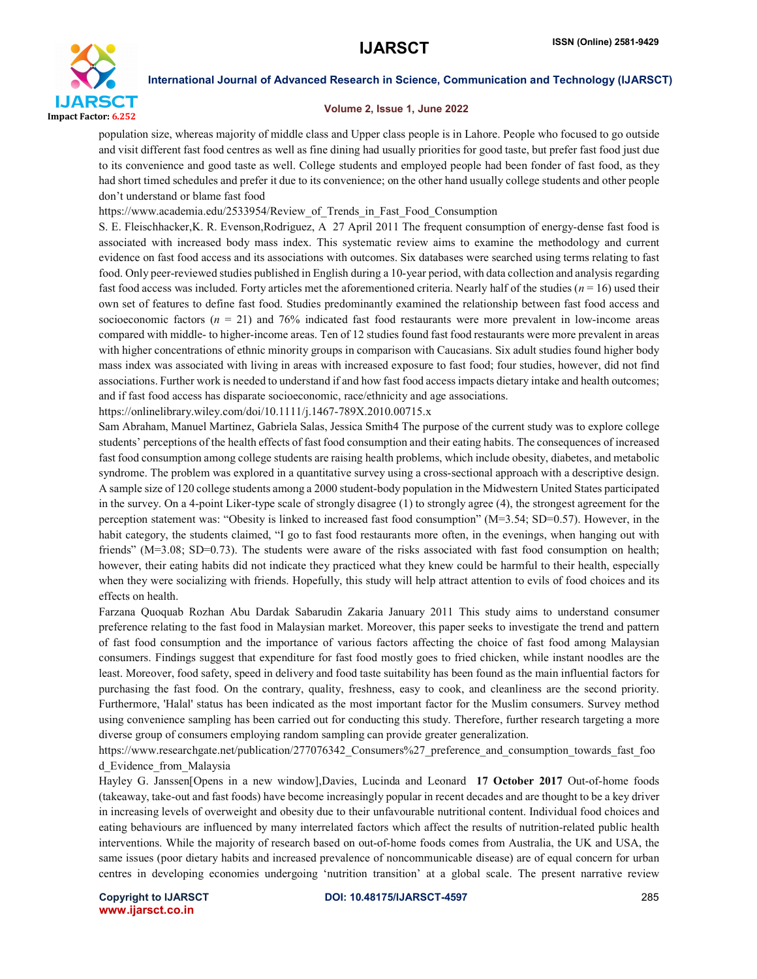

#### Volume 2, Issue 1, June 2022

population size, whereas majority of middle class and Upper class people is in Lahore. People who focused to go outside and visit different fast food centres as well as fine dining had usually priorities for good taste, but prefer fast food just due to its convenience and good taste as well. College students and employed people had been fonder of fast food, as they had short timed schedules and prefer it due to its convenience; on the other hand usually college students and other people don't understand or blame fast food

https://www.academia.edu/2533954/Review\_of\_Trends\_in\_Fast\_Food\_Consumption

S. E. Fleischhacker,K. R. Evenson,Rodriguez, A 27 April 2011 The frequent consumption of energy-dense fast food is associated with increased body mass index. This systematic review aims to examine the methodology and current evidence on fast food access and its associations with outcomes. Six databases were searched using terms relating to fast food. Only peer-reviewed studies published in English during a 10-year period, with data collection and analysis regarding fast food access was included. Forty articles met the aforementioned criteria. Nearly half of the studies (*n* = 16) used their own set of features to define fast food. Studies predominantly examined the relationship between fast food access and socioeconomic factors  $(n = 21)$  and 76% indicated fast food restaurants were more prevalent in low-income areas compared with middle- to higher-income areas. Ten of 12 studies found fast food restaurants were more prevalent in areas with higher concentrations of ethnic minority groups in comparison with Caucasians. Six adult studies found higher body mass index was associated with living in areas with increased exposure to fast food; four studies, however, did not find associations. Further work is needed to understand if and how fast food access impacts dietary intake and health outcomes; and if fast food access has disparate socioeconomic, race/ethnicity and age associations.

https://onlinelibrary.wiley.com/doi/10.1111/j.1467-789X.2010.00715.x

Sam Abraham, Manuel Martinez, Gabriela Salas, Jessica Smith4 The purpose of the current study was to explore college students' perceptions of the health effects of fast food consumption and their eating habits. The consequences of increased fast food consumption among college students are raising health problems, which include obesity, diabetes, and metabolic syndrome. The problem was explored in a quantitative survey using a cross-sectional approach with a descriptive design. A sample size of 120 college students among a 2000 student-body population in the Midwestern United States participated in the survey. On a 4-point Liker-type scale of strongly disagree (1) to strongly agree (4), the strongest agreement for the perception statement was: "Obesity is linked to increased fast food consumption" (M=3.54; SD=0.57). However, in the habit category, the students claimed, "I go to fast food restaurants more often, in the evenings, when hanging out with friends" (M=3.08; SD=0.73). The students were aware of the risks associated with fast food consumption on health; however, their eating habits did not indicate they practiced what they knew could be harmful to their health, especially when they were socializing with friends. Hopefully, this study will help attract attention to evils of food choices and its effects on health.

Farzana Quoquab Rozhan Abu Dardak Sabarudin Zakaria January 2011 This study aims to understand consumer preference relating to the fast food in Malaysian market. Moreover, this paper seeks to investigate the trend and pattern of fast food consumption and the importance of various factors affecting the choice of fast food among Malaysian consumers. Findings suggest that expenditure for fast food mostly goes to fried chicken, while instant noodles are the least. Moreover, food safety, speed in delivery and food taste suitability has been found as the main influential factors for purchasing the fast food. On the contrary, quality, freshness, easy to cook, and cleanliness are the second priority. Furthermore, 'Halal' status has been indicated as the most important factor for the Muslim consumers. Survey method using convenience sampling has been carried out for conducting this study. Therefore, further research targeting a more diverse group of consumers employing random sampling can provide greater generalization.

https://www.researchgate.net/publication/277076342 Consumers%27 preference and consumption towards fast foo d\_Evidence\_from\_Malaysia

Hayley G. Janssen[Opens in a new window],Davies, Lucinda and Leonard 17 October 2017 Out-of-home foods (takeaway, take-out and fast foods) have become increasingly popular in recent decades and are thought to be a key driver in increasing levels of overweight and obesity due to their unfavourable nutritional content. Individual food choices and eating behaviours are influenced by many interrelated factors which affect the results of nutrition-related public health interventions. While the majority of research based on out-of-home foods comes from Australia, the UK and USA, the same issues (poor dietary habits and increased prevalence of noncommunicable disease) are of equal concern for urban centres in developing economies undergoing 'nutrition transition' at a global scale. The present narrative review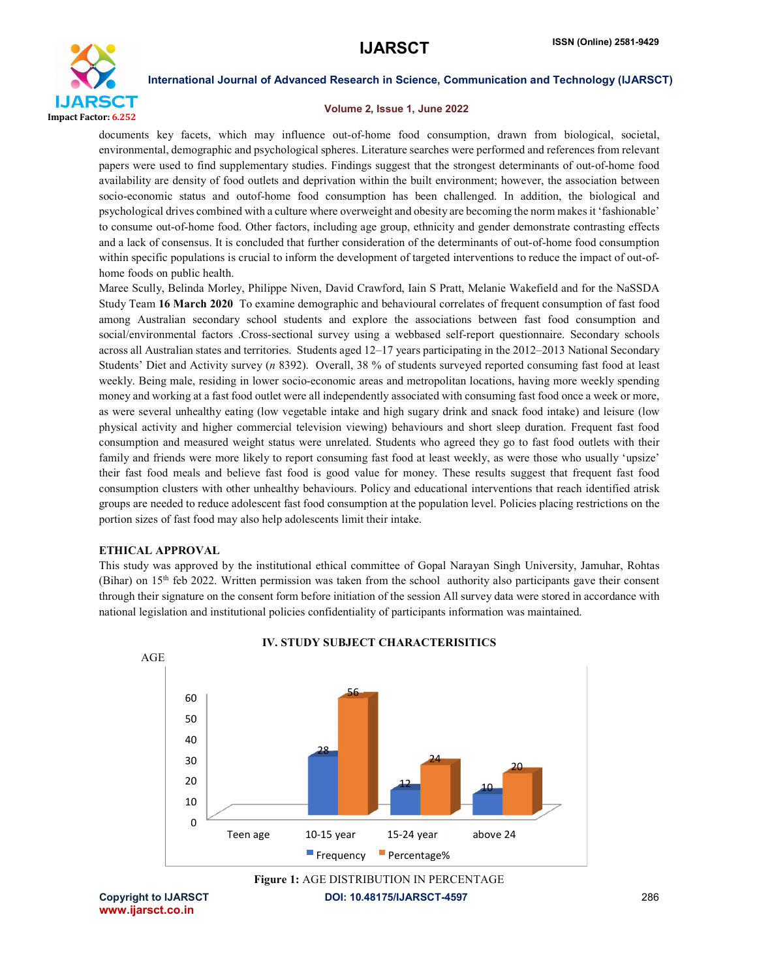

#### Volume 2, Issue 1, June 2022

documents key facets, which may influence out-of-home food consumption, drawn from biological, societal, environmental, demographic and psychological spheres. Literature searches were performed and references from relevant papers were used to find supplementary studies. Findings suggest that the strongest determinants of out-of-home food availability are density of food outlets and deprivation within the built environment; however, the association between socio-economic status and outof-home food consumption has been challenged. In addition, the biological and psychological drives combined with a culture where overweight and obesity are becoming the norm makes it 'fashionable' to consume out-of-home food. Other factors, including age group, ethnicity and gender demonstrate contrasting effects and a lack of consensus. It is concluded that further consideration of the determinants of out-of-home food consumption within specific populations is crucial to inform the development of targeted interventions to reduce the impact of out-ofhome foods on public health.

Maree Scully, Belinda Morley, Philippe Niven, David Crawford, Iain S Pratt, Melanie Wakefield and for the NaSSDA Study Team 16 March 2020 To examine demographic and behavioural correlates of frequent consumption of fast food among Australian secondary school students and explore the associations between fast food consumption and social/environmental factors .Cross-sectional survey using a webbased self-report questionnaire. Secondary schools across all Australian states and territories. Students aged 12–17 years participating in the 2012–2013 National Secondary Students' Diet and Activity survey (*n* 8392). Overall, 38 % of students surveyed reported consuming fast food at least weekly. Being male, residing in lower socio-economic areas and metropolitan locations, having more weekly spending money and working at a fast food outlet were all independently associated with consuming fast food once a week or more, as were several unhealthy eating (low vegetable intake and high sugary drink and snack food intake) and leisure (low physical activity and higher commercial television viewing) behaviours and short sleep duration. Frequent fast food consumption and measured weight status were unrelated. Students who agreed they go to fast food outlets with their family and friends were more likely to report consuming fast food at least weekly, as were those who usually 'upsize' their fast food meals and believe fast food is good value for money. These results suggest that frequent fast food consumption clusters with other unhealthy behaviours. Policy and educational interventions that reach identified atrisk groups are needed to reduce adolescent fast food consumption at the population level. Policies placing restrictions on the portion sizes of fast food may also help adolescents limit their intake.

#### ETHICAL APPROVAL

This study was approved by the institutional ethical committee of Gopal Narayan Singh University, Jamuhar, Rohtas (Bihar) on 15th feb 2022. Written permission was taken from the school authority also participants gave their consent through their signature on the consent form before initiation of the session All survey data were stored in accordance with national legislation and institutional policies confidentiality of participants information was maintained.



#### IV. STUDY SUBJECT CHARACTERISITICS

Figure 1: AGE DISTRIBUTION IN PERCENTAGE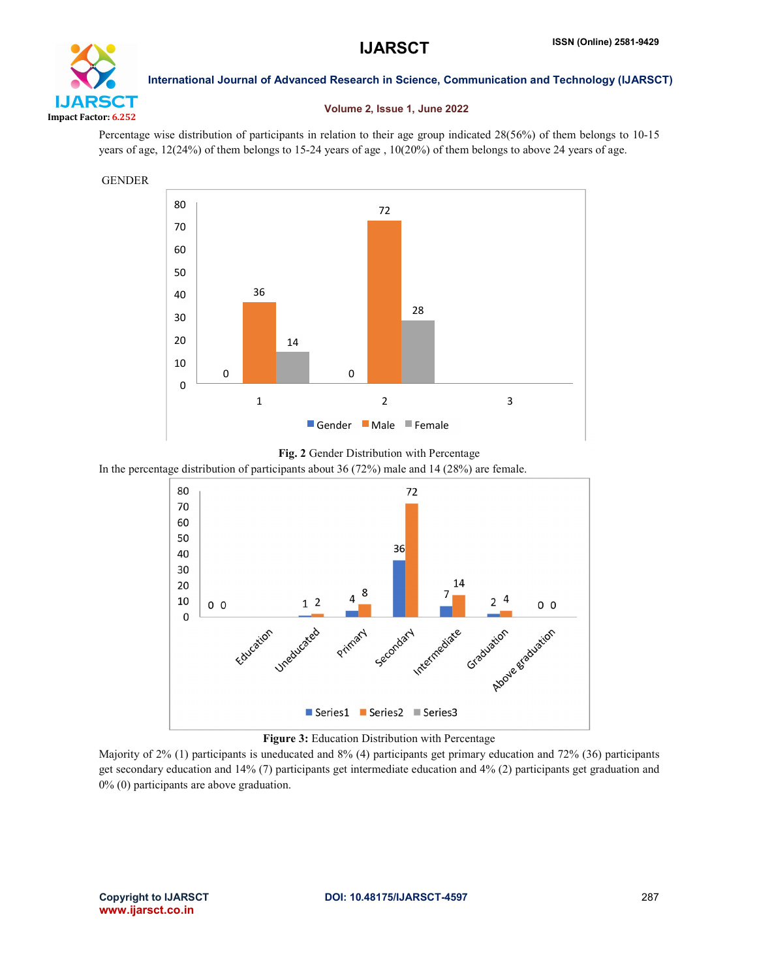

## Volume 2, Issue 1, June 2022

Percentage wise distribution of participants in relation to their age group indicated 28(56%) of them belongs to 10-15 years of age, 12(24%) of them belongs to 15-24 years of age , 10(20%) of them belongs to above 24 years of age.





In the percentage distribution of participants about 36 (72%) male and 14 (28%) are female.



Figure 3: Education Distribution with Percentage

Majority of 2% (1) participants is uneducated and 8% (4) participants get primary education and 72% (36) participants get secondary education and 14% (7) participants get intermediate education and 4% (2) participants get graduation and 0% (0) participants are above graduation.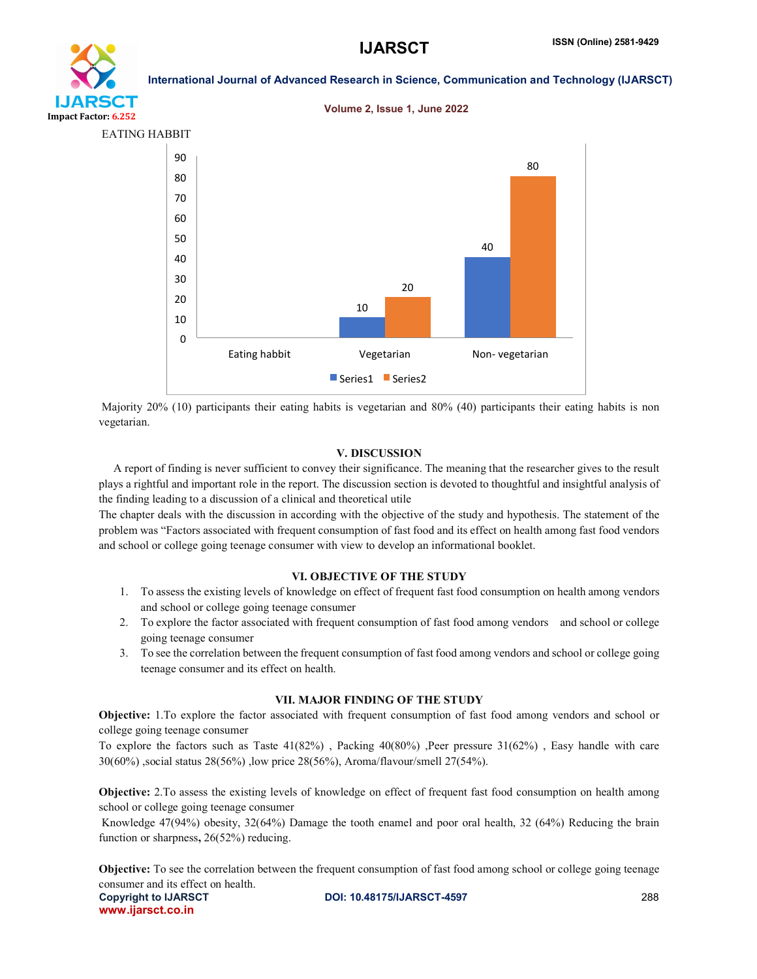# LIARSCT

Impact Factor: 6.252

International Journal of Advanced Research in Science, Communication and Technology (IJARSCT)





Majority 20% (10) participants their eating habits is vegetarian and 80% (40) participants their eating habits is non vegetarian.

#### V. DISCUSSION

 A report of finding is never sufficient to convey their significance. The meaning that the researcher gives to the result plays a rightful and important role in the report. The discussion section is devoted to thoughtful and insightful analysis of the finding leading to a discussion of a clinical and theoretical utile

The chapter deals with the discussion in according with the objective of the study and hypothesis. The statement of the problem was "Factors associated with frequent consumption of fast food and its effect on health among fast food vendors and school or college going teenage consumer with view to develop an informational booklet.

#### VI. OBJECTIVE OF THE STUDY

- 1. To assess the existing levels of knowledge on effect of frequent fast food consumption on health among vendors and school or college going teenage consumer
- 2. To explore the factor associated with frequent consumption of fast food among vendors and school or college going teenage consumer
- 3. To see the correlation between the frequent consumption of fast food among vendors and school or college going teenage consumer and its effect on health.

#### VII. MAJOR FINDING OF THE STUDY

Objective: 1.To explore the factor associated with frequent consumption of fast food among vendors and school or college going teenage consumer

To explore the factors such as Taste 41(82%) , Packing 40(80%) ,Peer pressure 31(62%) , Easy handle with care 30(60%) ,social status 28(56%) ,low price 28(56%), Aroma/flavour/smell 27(54%).

Objective: 2.To assess the existing levels of knowledge on effect of frequent fast food consumption on health among school or college going teenage consumer

Knowledge 47(94%) obesity, 32(64%) Damage the tooth enamel and poor oral health, 32 (64%) Reducing the brain function or sharpness, 26(52%) reducing.

Copyright to IJARSCT **DOI: 10.48175/IJARSCT-4597** 288 Objective: To see the correlation between the frequent consumption of fast food among school or college going teenage consumer and its effect on health.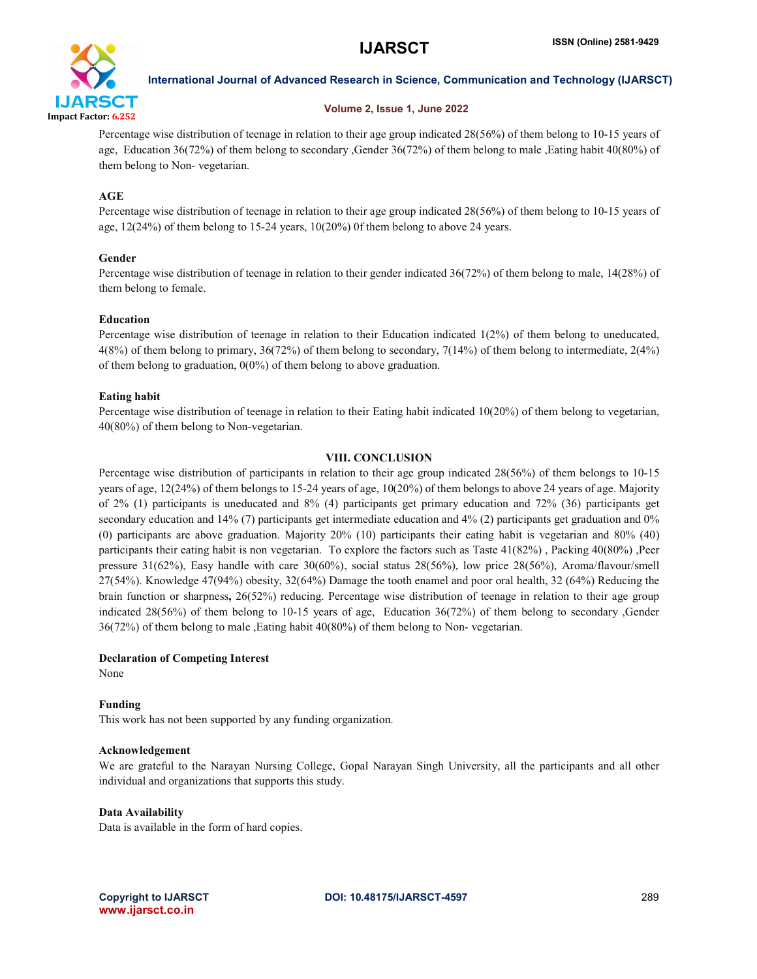

#### Volume 2, Issue 1, June 2022

Percentage wise distribution of teenage in relation to their age group indicated 28(56%) of them belong to 10-15 years of age, Education 36(72%) of them belong to secondary ,Gender 36(72%) of them belong to male ,Eating habit 40(80%) of them belong to Non- vegetarian.

## AGE

Percentage wise distribution of teenage in relation to their age group indicated 28(56%) of them belong to 10-15 years of age,  $12(24%)$  of them belong to  $15-24$  years,  $10(20%)$  of them belong to above 24 years.

## Gender

Percentage wise distribution of teenage in relation to their gender indicated 36(72%) of them belong to male, 14(28%) of them belong to female.

## Education

Percentage wise distribution of teenage in relation to their Education indicated 1(2%) of them belong to uneducated, 4(8%) of them belong to primary, 36(72%) of them belong to secondary, 7(14%) of them belong to intermediate, 2(4%) of them belong to graduation,  $0(0\%)$  of them belong to above graduation.

## Eating habit

Percentage wise distribution of teenage in relation to their Eating habit indicated 10(20%) of them belong to vegetarian, 40(80%) of them belong to Non-vegetarian.

## VIII. CONCLUSION

Percentage wise distribution of participants in relation to their age group indicated 28(56%) of them belongs to 10-15 years of age, 12(24%) of them belongs to 15-24 years of age, 10(20%) of them belongs to above 24 years of age. Majority of 2% (1) participants is uneducated and 8% (4) participants get primary education and 72% (36) participants get secondary education and 14% (7) participants get intermediate education and 4% (2) participants get graduation and 0% (0) participants are above graduation. Majority 20% (10) participants their eating habit is vegetarian and 80% (40) participants their eating habit is non vegetarian. To explore the factors such as Taste 41(82%) , Packing 40(80%) ,Peer pressure 31(62%), Easy handle with care 30(60%), social status 28(56%), low price 28(56%), Aroma/flavour/smell 27(54%). Knowledge 47(94%) obesity, 32(64%) Damage the tooth enamel and poor oral health, 32 (64%) Reducing the brain function or sharpness, 26(52%) reducing. Percentage wise distribution of teenage in relation to their age group indicated 28(56%) of them belong to 10-15 years of age, Education 36(72%) of them belong to secondary ,Gender 36(72%) of them belong to male ,Eating habit 40(80%) of them belong to Non- vegetarian.

## Declaration of Competing Interest

None

## Funding

This work has not been supported by any funding organization.

## Acknowledgement

We are grateful to the Narayan Nursing College, Gopal Narayan Singh University, all the participants and all other individual and organizations that supports this study.

## Data Availability

Data is available in the form of hard copies.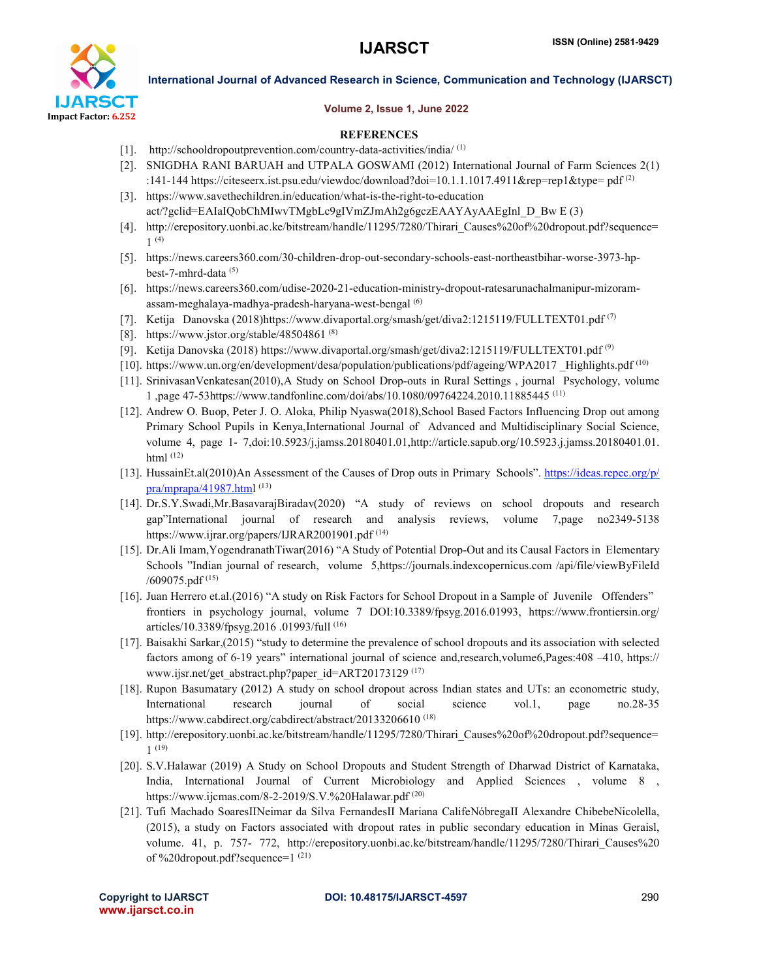

#### Volume 2, Issue 1, June 2022

#### **REFERENCES**

- [1]. http://schooldropoutprevention.com/country-data-activities/india/(1)
- [2]. SNIGDHA RANI BARUAH and UTPALA GOSWAMI (2012) International Journal of Farm Sciences 2(1) :141-144 https://citeseerx.ist.psu.edu/viewdoc/download?doi=10.1.1.1017.4911&rep=rep1&type= pdf <sup>(2)</sup>
- [3]. https://www.savethechildren.in/education/what-is-the-right-to-education act/?gclid=EAIaIQobChMIwvTMgbLc9gIVmZJmAh2g6gczEAAYAyAAEgInl\_D\_Bw E (3)
- [4]. http://erepository.uonbi.ac.ke/bitstream/handle/11295/7280/Thirari\_Causes%20of%20dropout.pdf?sequence= 1 (4)
- [5]. https://news.careers360.com/30-children-drop-out-secondary-schools-east-northeastbihar-worse-3973-hpbest-7-mhrd-data (5)
- [6]. https://news.careers360.com/udise-2020-21-education-ministry-dropout-ratesarunachalmanipur-mizoramassam-meghalaya-madhya-pradesh-haryana-west-bengal (6)
- [7]. Ketija Danovska (2018)https://www.divaportal.org/smash/get/diva2:1215119/FULLTEXT01.pdf (7)
- [8]. https://www.jstor.org/stable/48504861<sup>(8)</sup>
- [9]. Ketija Danovska (2018) https://www.divaportal.org/smash/get/diva2:1215119/FULLTEXT01.pdf (9)
- [10]. https://www.un.org/en/development/desa/population/publications/pdf/ageing/WPA2017 \_Highlights.pdf (10)
- [11]. SrinivasanVenkatesan(2010),A Study on School Drop-outs in Rural Settings , journal Psychology, volume 1 ,page 47-53https://www.tandfonline.com/doi/abs/10.1080/09764224.2010.11885445 (11)
- [12]. Andrew O. Buop, Peter J. O. Aloka, Philip Nyaswa(2018),School Based Factors Influencing Drop out among Primary School Pupils in Kenya,International Journal of Advanced and Multidisciplinary Social Science, volume 4, page 1- 7,doi:10.5923/j.jamss.20180401.01,http://article.sapub.org/10.5923.j.jamss.20180401.01. html (12)
- [13]. HussainEt.al(2010)An Assessment of the Causes of Drop outs in Primary Schools". https://ideas.repec.org/p/  $pra/mprapa/41987.html$  (13)
- [14]. Dr.S.Y.Swadi,Mr.BasavarajBiradav(2020) "A study of reviews on school dropouts and research gap"International journal of research and analysis reviews, volume 7,page no2349-5138 https://www.ijrar.org/papers/IJRAR2001901.pdf<sup>(14)</sup>
- [15]. Dr.Ali Imam,YogendranathTiwar(2016) "A Study of Potential Drop-Out and its Causal Factors in Elementary Schools "Indian journal of research, volume 5,https://journals.indexcopernicus.com /api/file/viewByFileId  $/609075.pdf$  (15)
- [16]. Juan Herrero et.al.(2016) "A study on Risk Factors for School Dropout in a Sample of Juvenile Offenders" frontiers in psychology journal, volume 7 DOI:10.3389/fpsyg.2016.01993, https://www.frontiersin.org/ articles/10.3389/fpsyg.2016 .01993/full (16)
- [17]. Baisakhi Sarkar,(2015) "study to determine the prevalence of school dropouts and its association with selected factors among of 6-19 years" international journal of science and,research,volume6,Pages:408 –410, https:// www.ijsr.net/get\_abstract.php?paper\_id=ART20173129 (17)
- [18]. Rupon Basumatary (2012) A study on school dropout across Indian states and UTs: an econometric study, International research journal of social science vol.1, page no.28-35 https://www.cabdirect.org/cabdirect/abstract/20133206610 (18)
- [19]. http://erepository.uonbi.ac.ke/bitstream/handle/11295/7280/Thirari\_Causes%20of%20dropout.pdf?sequence= 1 (19)
- [20]. S.V.Halawar (2019) A Study on School Dropouts and Student Strength of Dharwad District of Karnataka, India, International Journal of Current Microbiology and Applied Sciences , volume 8 , https://www.ijcmas.com/8-2-2019/S.V.%20Halawar.pdf<sup>(20)</sup>
- [21]. Tufi Machado SoaresIINeimar da Silva FernandesII Mariana CalifeNóbregaII Alexandre ChibebeNicolella, (2015), a study on Factors associated with dropout rates in public secondary education in Minas Geraisl, volume. 41, p. 757- 772, http://erepository.uonbi.ac.ke/bitstream/handle/11295/7280/Thirari Causes%20 of %20dropout.pdf?sequence=1 (21)